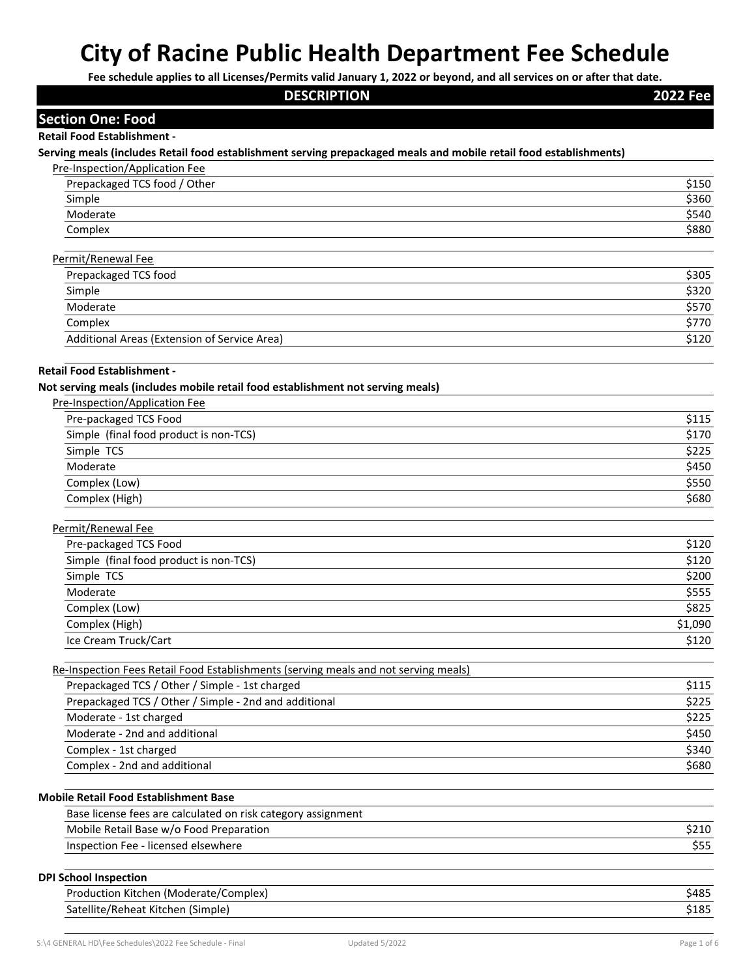| Fee schedule applies to all Licenses/Permits valid January 1, 2022 or beyond, and all services on or after that date.<br><b>DESCRIPTION</b> | <b>2022 Fee</b> |
|---------------------------------------------------------------------------------------------------------------------------------------------|-----------------|
|                                                                                                                                             |                 |
| <b>Section One: Food</b>                                                                                                                    |                 |
| <b>Retail Food Establishment -</b>                                                                                                          |                 |
| Serving meals (includes Retail food establishment serving prepackaged meals and mobile retail food establishments)                          |                 |
| Pre-Inspection/Application Fee<br>Prepackaged TCS food / Other                                                                              |                 |
| Simple                                                                                                                                      | \$150<br>\$360  |
| Moderate                                                                                                                                    | \$540           |
| Complex                                                                                                                                     | \$880           |
|                                                                                                                                             |                 |
| Permit/Renewal Fee                                                                                                                          |                 |
| Prepackaged TCS food                                                                                                                        | \$305           |
| Simple                                                                                                                                      | \$320           |
| Moderate                                                                                                                                    | \$570           |
| Complex                                                                                                                                     | \$770           |
| Additional Areas (Extension of Service Area)                                                                                                | \$120           |
| <b>Retail Food Establishment -</b>                                                                                                          |                 |
| Not serving meals (includes mobile retail food establishment not serving meals)                                                             |                 |
| Pre-Inspection/Application Fee                                                                                                              |                 |
| Pre-packaged TCS Food                                                                                                                       | \$115           |
| Simple (final food product is non-TCS)                                                                                                      | \$170           |
| Simple TCS                                                                                                                                  | \$225           |
| Moderate                                                                                                                                    | \$450           |
| Complex (Low)                                                                                                                               | \$550           |
| Complex (High)                                                                                                                              | \$680           |
| Permit/Renewal Fee                                                                                                                          |                 |
| Pre-packaged TCS Food                                                                                                                       | \$120           |
| Simple (final food product is non-TCS)                                                                                                      | \$120           |
| Simple TCS                                                                                                                                  | \$200           |
|                                                                                                                                             |                 |
| Moderate                                                                                                                                    | \$555<br>\$825  |
| Complex (Low)                                                                                                                               |                 |
| Complex (High)                                                                                                                              | \$1,090         |
| Ice Cream Truck/Cart                                                                                                                        | \$120           |
| Re-Inspection Fees Retail Food Establishments (serving meals and not serving meals)                                                         |                 |
| Prepackaged TCS / Other / Simple - 1st charged                                                                                              | \$115           |
| Prepackaged TCS / Other / Simple - 2nd and additional                                                                                       | \$225           |
| Moderate - 1st charged                                                                                                                      | \$225           |
| Moderate - 2nd and additional                                                                                                               | \$450           |
| Complex - 1st charged                                                                                                                       | \$340           |
| Complex - 2nd and additional                                                                                                                | \$680           |
|                                                                                                                                             |                 |
| <b>Mobile Retail Food Establishment Base</b><br>Base license fees are calculated on risk category assignment                                |                 |
|                                                                                                                                             |                 |
| Mobile Retail Base w/o Food Preparation<br>Inspection Fee - licensed elsewhere                                                              | \$210<br>\$55   |
|                                                                                                                                             |                 |
| <b>DPI School Inspection</b>                                                                                                                |                 |
| Production Kitchen (Moderate/Complex)                                                                                                       | \$485           |
| Satellite/Reheat Kitchen (Simple)                                                                                                           | \$185           |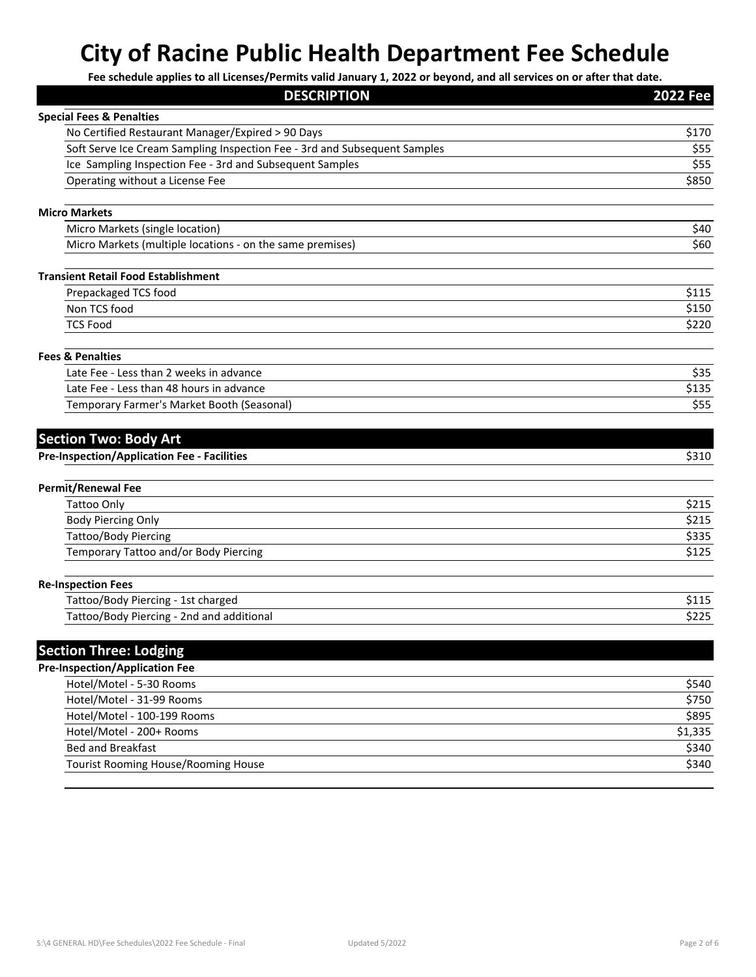| <b>DESCRIPTION</b>                                                                 | <b>2022 Fee</b> |
|------------------------------------------------------------------------------------|-----------------|
| <b>Special Fees &amp; Penalties</b>                                                |                 |
| No Certified Restaurant Manager/Expired > 90 Days                                  | \$170           |
| Soft Serve Ice Cream Sampling Inspection Fee - 3rd and Subsequent Samples          | \$55            |
| Ice Sampling Inspection Fee - 3rd and Subsequent Samples                           | \$55            |
| Operating without a License Fee                                                    | \$850           |
| <b>Micro Markets</b>                                                               |                 |
| Micro Markets (single location)                                                    | \$40            |
| Micro Markets (multiple locations - on the same premises)                          | \$60            |
| <b>Transient Retail Food Establishment</b>                                         |                 |
| Prepackaged TCS food                                                               | \$115           |
| Non TCS food                                                                       | \$150           |
| <b>TCS Food</b>                                                                    | \$220           |
| <b>Fees &amp; Penalties</b>                                                        |                 |
| Late Fee - Less than 2 weeks in advance                                            | \$35            |
| Late Fee - Less than 48 hours in advance                                           | \$135           |
| Temporary Farmer's Market Booth (Seasonal)                                         | \$55            |
| <b>Section Two: Body Art</b><br><b>Pre-Inspection/Application Fee - Facilities</b> | \$310           |
| <b>Permit/Renewal Fee</b>                                                          |                 |
| <b>Tattoo Only</b>                                                                 | \$215           |
| <b>Body Piercing Only</b>                                                          | \$215           |
| <b>Tattoo/Body Piercing</b>                                                        | \$335           |
| Temporary Tattoo and/or Body Piercing                                              | \$125           |
| <b>Re-Inspection Fees</b>                                                          |                 |
| Tattoo/Body Piercing - 1st charged                                                 | \$115           |
| Tattoo/Body Piercing - 2nd and additional                                          | \$225           |
| <b>Section Three: Lodging</b>                                                      |                 |
| <b>Pre-Inspection/Application Fee</b>                                              |                 |
| Hotel/Motel - 5-30 Rooms                                                           | \$540           |
| Hotel/Motel - 31-99 Rooms                                                          | \$750           |
| Hotel/Motel - 100-199 Rooms                                                        | \$895           |
| Hotel/Motel - 200+ Rooms                                                           | \$1,335         |
| <b>Bed and Breakfast</b>                                                           | \$340           |
| Tourist Rooming House/Rooming House                                                | \$340           |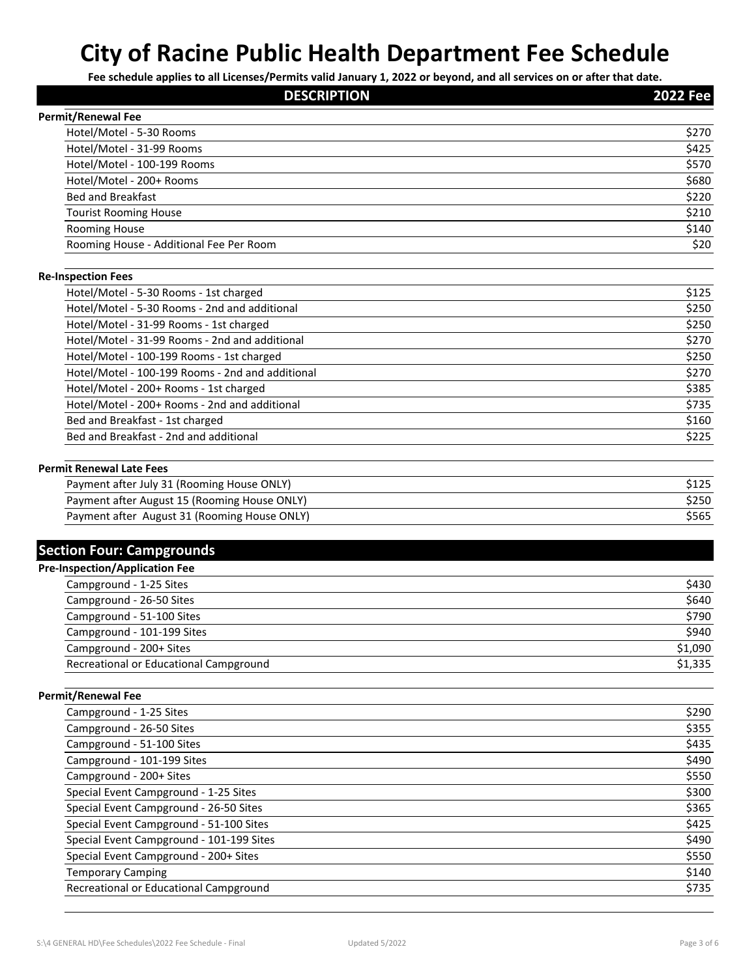| <b>DESCRIPTION</b>                               | <b>2022 Fee</b> |
|--------------------------------------------------|-----------------|
| <b>Permit/Renewal Fee</b>                        |                 |
| Hotel/Motel - 5-30 Rooms                         | \$270           |
| Hotel/Motel - 31-99 Rooms                        | \$425           |
| Hotel/Motel - 100-199 Rooms                      | \$570           |
| Hotel/Motel - 200+ Rooms                         | \$680           |
| <b>Bed and Breakfast</b>                         | \$220           |
| <b>Tourist Rooming House</b>                     | \$210           |
| <b>Rooming House</b>                             | \$140           |
| Rooming House - Additional Fee Per Room          | \$20            |
| <b>Re-Inspection Fees</b>                        |                 |
| Hotel/Motel - 5-30 Rooms - 1st charged           | \$125           |
| Hotel/Motel - 5-30 Rooms - 2nd and additional    | \$250           |
| Hotel/Motel - 31-99 Rooms - 1st charged          | \$250           |
| Hotel/Motel - 31-99 Rooms - 2nd and additional   | \$270           |
| Hotel/Motel - 100-199 Rooms - 1st charged        | \$250           |
| Hotel/Motel - 100-199 Rooms - 2nd and additional | \$270           |
| Hotel/Motel - 200+ Rooms - 1st charged           | \$385           |
| Hotel/Motel - 200+ Rooms - 2nd and additional    | \$735           |
| Bed and Breakfast - 1st charged                  | \$160           |
| Bed and Breakfast - 2nd and additional           | \$225           |
| <b>Permit Renewal Late Fees</b>                  |                 |
| Payment after July 31 (Rooming House ONLY)       | \$125           |
| Payment after August 15 (Rooming House ONLY)     | \$250           |
| Payment after August 31 (Rooming House ONLY)     | \$565           |
| <b>Section Four: Campgrounds</b>                 |                 |
| <b>Pre-Inspection/Application Fee</b>            |                 |
| Campground - 1-25 Sites                          | \$430           |
| Campground - 26-50 Sites                         | \$640           |
| Campground - 51-100 Sites                        | \$790           |
| Campground - 101-199 Sites                       | \$940           |
| Campground - 200+ Sites                          | \$1,090         |
| Recreational or Educational Campground           | \$1,335         |
| <b>Permit/Renewal Fee</b>                        |                 |
| Campground - 1-25 Sites                          | \$290           |
| Campground - 26-50 Sites                         | \$355           |
| Campground - 51-100 Sites                        | \$435           |
| Campground - 101-199 Sites                       | \$490           |
| Campground - 200+ Sites                          | \$550           |
| Special Event Campground - 1-25 Sites            | \$300           |
| Special Event Campground - 26-50 Sites           | \$365           |
| Special Event Campground - 51-100 Sites          | \$425           |
| Special Event Campground - 101-199 Sites         | \$490           |
| Special Event Campground - 200+ Sites            | \$550           |
| <b>Temporary Camping</b>                         | \$140           |
| Recreational or Educational Campground           | \$735           |
|                                                  |                 |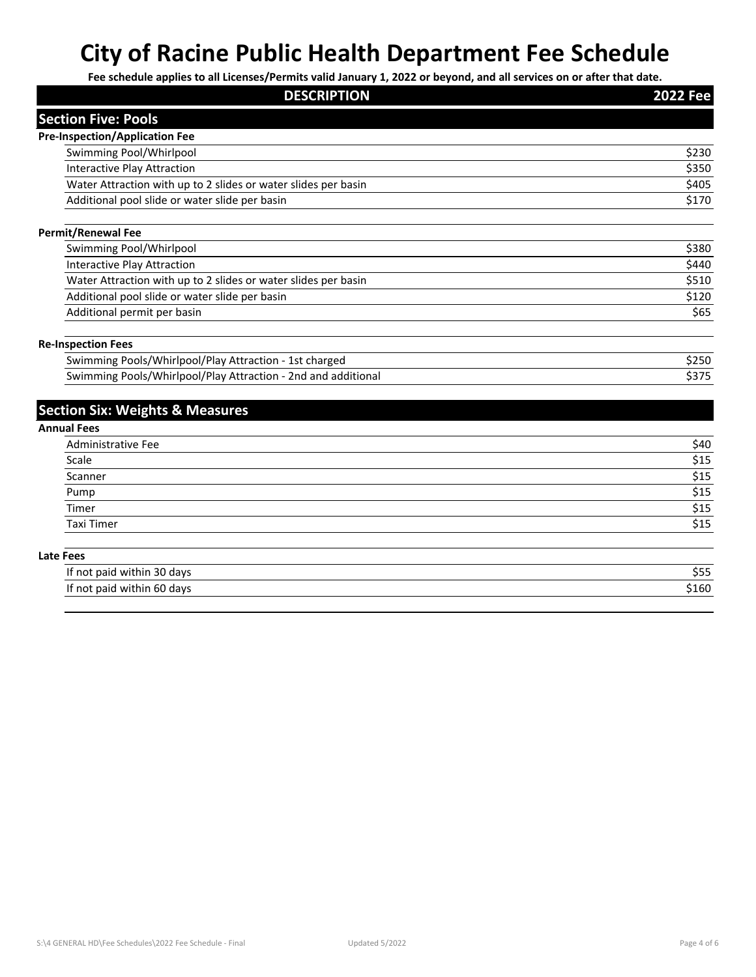| . .<br><b>DESCRIPTION</b>                                      | <b>2022 Fee</b> |
|----------------------------------------------------------------|-----------------|
| <b>Section Five: Pools</b>                                     |                 |
| <b>Pre-Inspection/Application Fee</b>                          |                 |
| Swimming Pool/Whirlpool                                        | \$230           |
| <b>Interactive Play Attraction</b>                             | \$350           |
| Water Attraction with up to 2 slides or water slides per basin | \$405           |
| Additional pool slide or water slide per basin                 | \$170           |
| <b>Permit/Renewal Fee</b>                                      |                 |
| Swimming Pool/Whirlpool                                        | \$380           |
| <b>Interactive Play Attraction</b>                             | \$440           |
| Water Attraction with up to 2 slides or water slides per basin | \$510           |
| Additional pool slide or water slide per basin                 | \$120           |
| Additional permit per basin                                    | \$65            |
| <b>Re-Inspection Fees</b>                                      |                 |
| Swimming Pools/Whirlpool/Play Attraction - 1st charged         | \$250           |
| Swimming Pools/Whirlpool/Play Attraction - 2nd and additional  | \$375           |
| <b>Section Six: Weights &amp; Measures</b>                     |                 |
| <b>Annual Fees</b>                                             |                 |
| <b>Administrative Fee</b>                                      | \$40            |
| Scale                                                          | \$15            |
| Scanner                                                        | \$15            |
| Pump                                                           | \$15            |
| Timer                                                          | \$15            |
| <b>Taxi Timer</b>                                              | \$15            |
| <b>Late Fees</b>                                               |                 |
| If not paid within 30 days                                     | \$55            |
| If not paid within 60 days                                     | \$160           |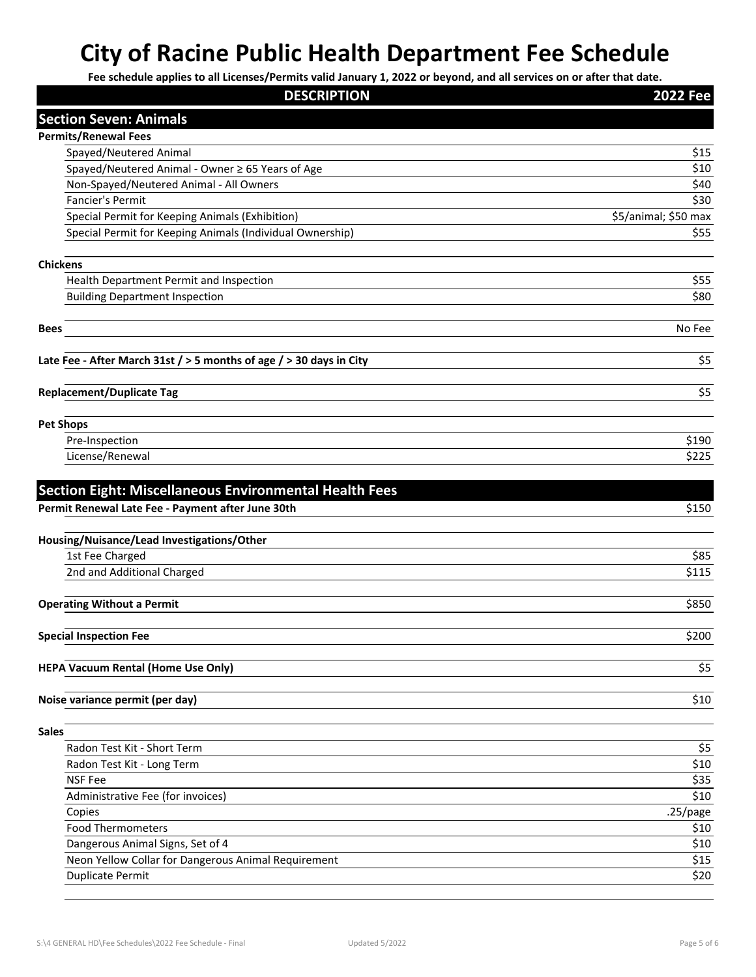| <b>DESCRIPTION</b>                                                      | <b>2022 Fee</b>      |
|-------------------------------------------------------------------------|----------------------|
| <b>Section Seven: Animals</b>                                           |                      |
| <b>Permits/Renewal Fees</b>                                             |                      |
| Spayed/Neutered Animal                                                  | \$15                 |
| Spayed/Neutered Animal - Owner ≥ 65 Years of Age                        | \$10                 |
| Non-Spayed/Neutered Animal - All Owners                                 | \$40                 |
| <b>Fancier's Permit</b>                                                 | \$30                 |
| Special Permit for Keeping Animals (Exhibition)                         | \$5/animal; \$50 max |
| Special Permit for Keeping Animals (Individual Ownership)               | \$55                 |
|                                                                         |                      |
| <b>Chickens</b>                                                         |                      |
| Health Department Permit and Inspection                                 | \$55                 |
| <b>Building Department Inspection</b>                                   | \$80                 |
| <b>Bees</b>                                                             | No Fee               |
| Late Fee - After March 31st $/$ > 5 months of age $/$ > 30 days in City | \$5                  |
| <b>Replacement/Duplicate Tag</b>                                        | \$5                  |
| <b>Pet Shops</b>                                                        |                      |
| Pre-Inspection                                                          | \$190                |
| License/Renewal                                                         | \$225                |
|                                                                         |                      |
|                                                                         |                      |
| <b>Section Eight: Miscellaneous Environmental Health Fees</b>           |                      |
| Permit Renewal Late Fee - Payment after June 30th                       | \$150                |
| Housing/Nuisance/Lead Investigations/Other                              |                      |
| 1st Fee Charged                                                         | \$85                 |
| 2nd and Additional Charged                                              | \$115                |
|                                                                         |                      |
| <b>Operating Without a Permit</b>                                       | \$850                |
|                                                                         |                      |
| <b>Special Inspection Fee</b>                                           | \$200                |
| <b>HEPA Vacuum Rental (Home Use Only)</b>                               | \$5                  |
|                                                                         |                      |
| Noise variance permit (per day)                                         | \$10                 |
|                                                                         |                      |
| <b>Sales</b>                                                            |                      |
| Radon Test Kit - Short Term                                             | \$5                  |
| Radon Test Kit - Long Term                                              | \$10                 |
| <b>NSF Fee</b>                                                          | \$35                 |
| Administrative Fee (for invoices)                                       | \$10                 |
| Copies                                                                  | $.25$ /page          |
| <b>Food Thermometers</b>                                                | \$10                 |
| Dangerous Animal Signs, Set of 4                                        | \$10                 |
| Neon Yellow Collar for Dangerous Animal Requirement                     | \$15                 |
| <b>Duplicate Permit</b>                                                 | \$20                 |